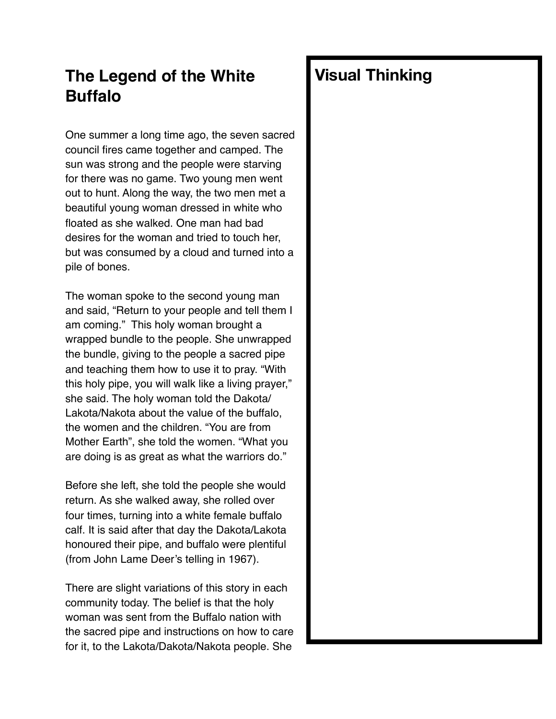## **The Legend of the White Buffalo**

One summer a long time ago, the seven sacred council fires came together and camped. The sun was strong and the people were starving for there was no game. Two young men went out to hunt. Along the way, the two men met a beautiful young woman dressed in white who floated as she walked. One man had bad desires for the woman and tried to touch her, but was consumed by a cloud and turned into a pile of bones.

The woman spoke to the second young man and said, "Return to your people and tell them I am coming." This holy woman brought a wrapped bundle to the people. She unwrapped the bundle, giving to the people a sacred pipe and teaching them how to use it to pray. "With this holy pipe, you will walk like a living prayer," she said. The holy woman told the Dakota/ Lakota/Nakota about the value of the buffalo, the women and the children. "You are from Mother Earth", she told the women. "What you are doing is as great as what the warriors do."

Before she left, she told the people she would return. As she walked away, she rolled over four times, turning into a white female buffalo calf. It is said after that day the Dakota/Lakota honoured their pipe, and buffalo were plentiful (from John Lame Deer's telling in 1967).

There are slight variations of this story in each community today. The belief is that the holy woman was sent from the Buffalo nation with the sacred pipe and instructions on how to care for it, to the Lakota/Dakota/Nakota people. She

## **Visual Thinking**